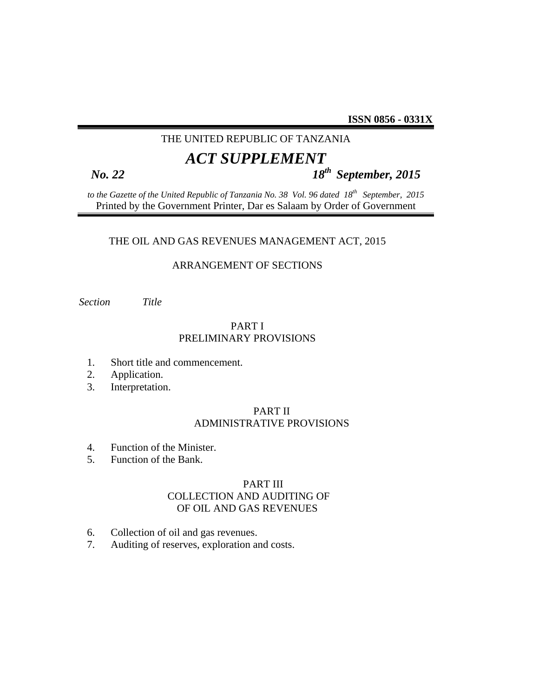# THE UNITED REPUBLIC OF TANZANIA

# *ACT SUPPLEMENT*

# *No. 22 18th September, 2015*

*to the Gazette of the United Republic of Tanzania No. 38 Vol. 96 dated 18th September, 2015*  Printed by the Government Printer, Dar es Salaam by Order of Government

#### THE OIL AND GAS REVENUES MANAGEMENT ACT, 2015

#### ARRANGEMENT OF SECTIONS

*Section Title* 

# PART I PRELIMINARY PROVISIONS

- 1. Short title and commencement.
- 2. Application.
- 3. Interpretation.

## PART II ADMINISTRATIVE PROVISIONS

- 4. Function of the Minister.
- 5. Function of the Bank.

# PART III COLLECTION AND AUDITING OF OF OIL AND GAS REVENUES

- 6. Collection of oil and gas revenues.
- 7. Auditing of reserves, exploration and costs.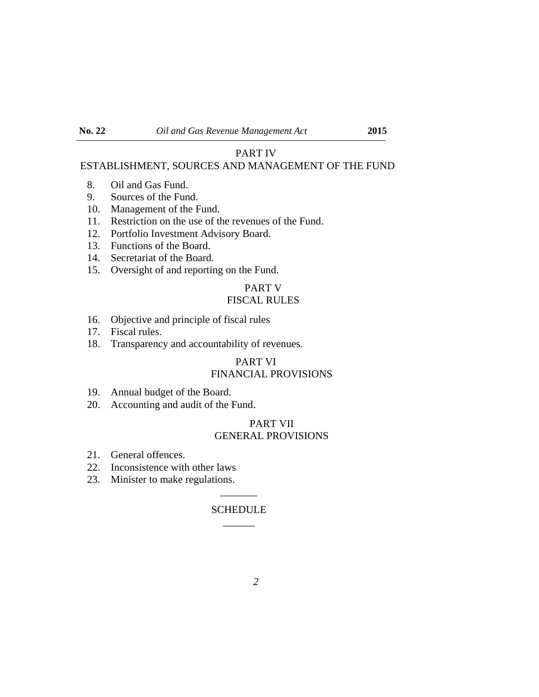#### PART IV

# ESTABLISHMENT, SOURCES AND MANAGEMENT OF THE FUND

- 8. Oil and Gas Fund.
- 9. Sources of the Fund.
- 10. Management of the Fund.
- 11. Restriction on the use of the revenues of the Fund.
- 12. Portfolio Investment Advisory Board.
- 13. Functions of the Board.
- 14. Secretariat of the Board.
- 15. Oversight of and reporting on the Fund.

# PART V

# FISCAL RULES

- 16. Objective and principle of fiscal rules
- 17. Fiscal rules.
- 18. Transparency and accountability of revenues.

# PART VI FINANCIAL PROVISIONS

- 19. Annual budget of the Board.
- 20. Accounting and audit of the Fund.

## PART VII GENERAL PROVISIONS

- 21. General offences.
- 22. Inconsistence with other laws
- 23. Minister to make regulations.

#### SCHEDULE  $\overline{\phantom{a}}$

 $\overline{\phantom{a}}$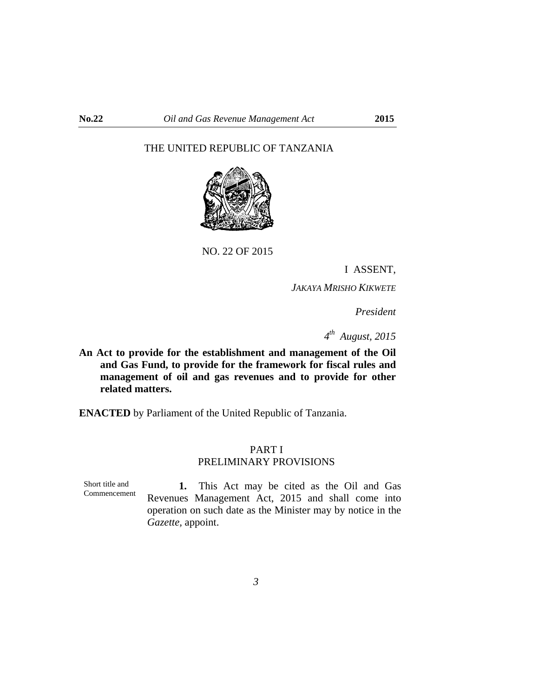# THE UNITED REPUBLIC OF TANZANIA



NO. 22 OF 2015

I ASSENT,

*JAKAYA MRISHO KIKWETE*

 *President* 

*4th August, 2015* 

**An Act to provide for the establishment and management of the Oil and Gas Fund, to provide for the framework for fiscal rules and management of oil and gas revenues and to provide for other related matters.**

**ENACTED** by Parliament of the United Republic of Tanzania.

## PART I PRELIMINARY PROVISIONS

Short title and Commencement

**1.** This Act may be cited as the Oil and Gas Revenues Management Act, 2015 and shall come into operation on such date as the Minister may by notice in the *Gazette,* appoint.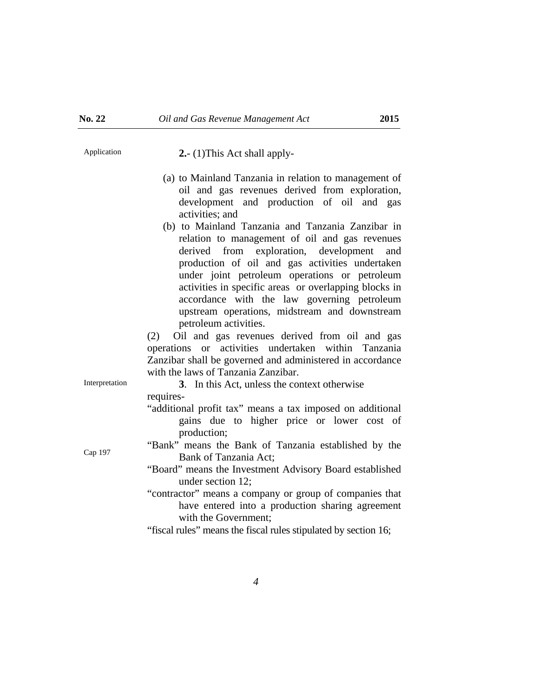Application **2.**- (1)This Act shall apply-

- (a) to Mainland Tanzania in relation to management of oil and gas revenues derived from exploration, development and production of oil and gas activities; and
- (b) to Mainland Tanzania and Tanzania Zanzibar in relation to management of oil and gas revenues derived from exploration, development and production of oil and gas activities undertaken under joint petroleum operations or petroleum activities in specific areas or overlapping blocks in accordance with the law governing petroleum upstream operations, midstream and downstream petroleum activities.

(2) Oil and gas revenues derived from oil and gas operations or activities undertaken within Tanzania Zanzibar shall be governed and administered in accordance with the laws of Tanzania Zanzibar.

Interpretation **3**. In this Act, unless the context otherwise requires-

- "additional profit tax" means a tax imposed on additional gains due to higher price or lower cost of production;
- Cap 197 "Bank" means the Bank of Tanzania established by the Bank of Tanzania Act;
	- "Board" means the Investment Advisory Board established under section 12;
	- "contractor" means a company or group of companies that have entered into a production sharing agreement with the Government;

"fiscal rules" means the fiscal rules stipulated by section 16;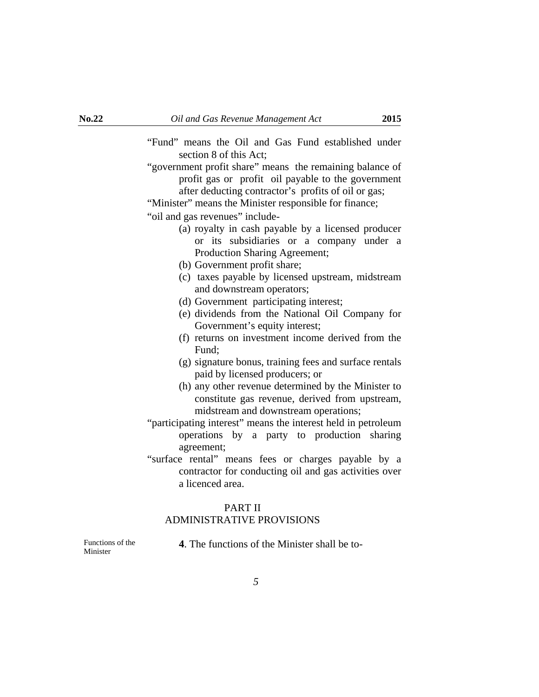- "Fund" means the Oil and Gas Fund established under section 8 of this Act;
- "government profit share" means the remaining balance of profit gas or profit oil payable to the government after deducting contractor's profits of oil or gas;

"Minister" means the Minister responsible for finance;

"oil and gas revenues" include-

- (a) royalty in cash payable by a licensed producer or its subsidiaries or a company under a Production Sharing Agreement;
- (b) Government profit share;
- (c) taxes payable by licensed upstream, midstream and downstream operators;
- (d) Government participating interest;
- (e) dividends from the National Oil Company for Government's equity interest;
- (f) returns on investment income derived from the Fund;
- (g) signature bonus, training fees and surface rentals paid by licensed producers; or
- (h) any other revenue determined by the Minister to constitute gas revenue, derived from upstream, midstream and downstream operations;
- "participating interest" means the interest held in petroleum operations by a party to production sharing agreement;
- "surface rental" means fees or charges payable by a contractor for conducting oil and gas activities over a licenced area.

#### PART II

# ADMINISTRATIVE PROVISIONS

Functions of the Minister

٦

**4**. The functions of the Minister shall be to-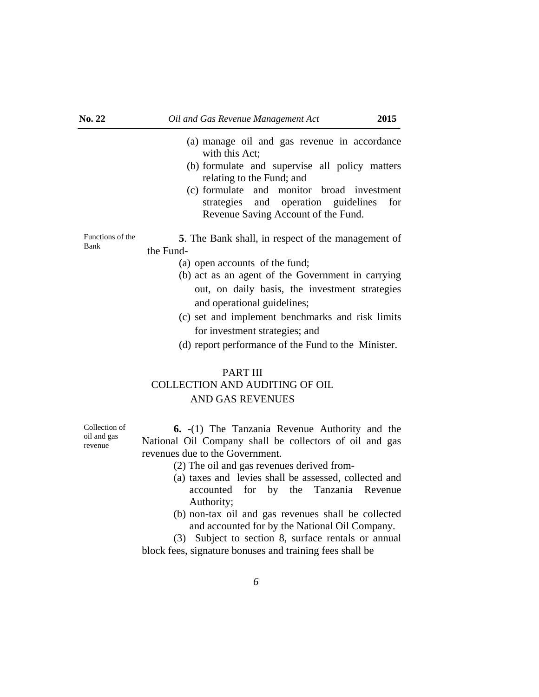- (a) manage oil and gas revenue in accordance with this Act;
- (b) formulate and supervise all policy matters relating to the Fund; and
- (c) formulate and monitor broad investment strategies and operation guidelines for Revenue Saving Account of the Fund.

Functions of the Bank **5**. The Bank shall, in respect of the management of the Fund-

- (a) open accounts of the fund;
- (b) act as an agent of the Government in carrying out, on daily basis, the investment strategies and operational guidelines;
- (c) set and implement benchmarks and risk limits for investment strategies; and
- (d) report performance of the Fund to the Minister.

# PART III COLLECTION AND AUDITING OF OIL AND GAS REVENUES

**6. -**(1) The Tanzania Revenue Authority and the National Oil Company shall be collectors of oil and gas revenues due to the Government.

- (2) The oil and gas revenues derived from-
- (a) taxes and levies shall be assessed, collected and accounted for by the Tanzania Revenue Authority;
- (b) non-tax oil and gas revenues shall be collected and accounted for by the National Oil Company.

 (3) Subject to section 8, surface rentals or annual block fees, signature bonuses and training fees shall be

Collection of oil and gas revenue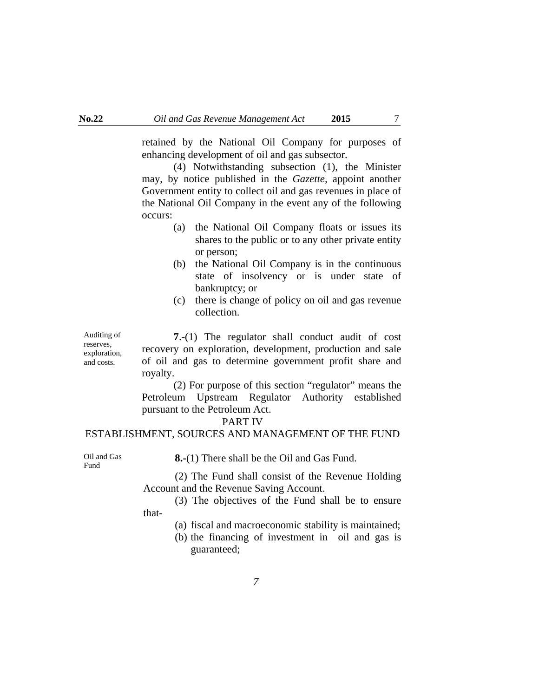retained by the National Oil Company for purposes of enhancing development of oil and gas subsector.

 (4) Notwithstanding subsection (1), the Minister may, by notice published in the *Gazette,* appoint another Government entity to collect oil and gas revenues in place of the National Oil Company in the event any of the following occurs:

- (a) the National Oil Company floats or issues its shares to the public or to any other private entity or person;
- (b) the National Oil Company is in the continuous state of insolvency or is under state of bankruptcy; or
- (c) there is change of policy on oil and gas revenue collection.

 **7**.-(1) The regulator shall conduct audit of cost recovery on exploration, development, production and sale of oil and gas to determine government profit share and royalty.

 (2) For purpose of this section "regulator" means the Petroleum Upstream Regulator Authority established pursuant to the Petroleum Act.

#### PART IV

#### ESTABLISHMENT, SOURCES AND MANAGEMENT OF THE FUND

Oil and Gas Fund

Auditing of reserves, exploration, and costs.

**8.-**(1) There shall be the Oil and Gas Fund.

 (2) The Fund shall consist of the Revenue Holding Account and the Revenue Saving Account.

 (3) The objectives of the Fund shall be to ensure that-

(a) fiscal and macroeconomic stability is maintained;

(b) the financing of investment in oil and gas is guaranteed;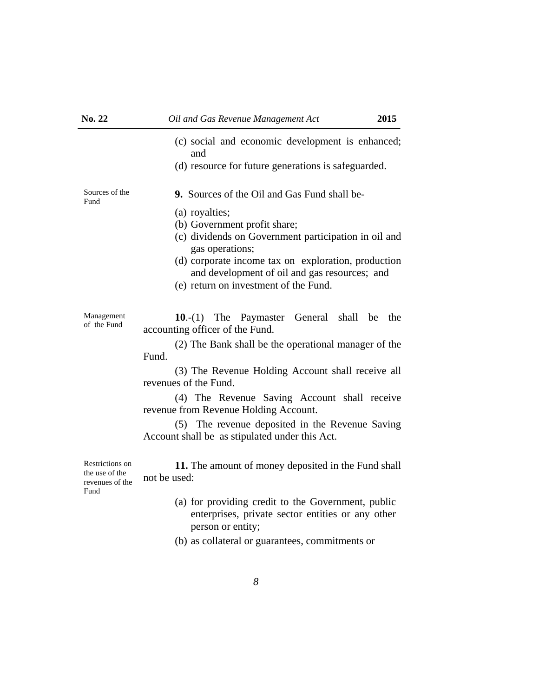(c) social and economic development is enhanced; and (d) resource for future generations is safeguarded. **9.** Sources of the Oil and Gas Fund shall be- (a) royalties; (b) Government profit share; (c) dividends on Government participation in oil and gas operations; (d) corporate income tax on exploration, production and development of oil and gas resources; and (e) return on investment of the Fund.

Management of the Fund **10**.-(1) The Paymaster General shall be the accounting officer of the Fund.

> (2) The Bank shall be the operational manager of the Fund.

> (3) The Revenue Holding Account shall receive all revenues of the Fund.

> (4) The Revenue Saving Account shall receive revenue from Revenue Holding Account.

> (5) The revenue deposited in the Revenue Saving Account shall be as stipulated under this Act.

Restrictions on the use of the revenues of the **11.** The amount of money deposited in the Fund shall not be used:

- (a) for providing credit to the Government, public enterprises, private sector entities or any other person or entity;
- (b) as collateral or guarantees, commitments or

Sources of the Fund

Fund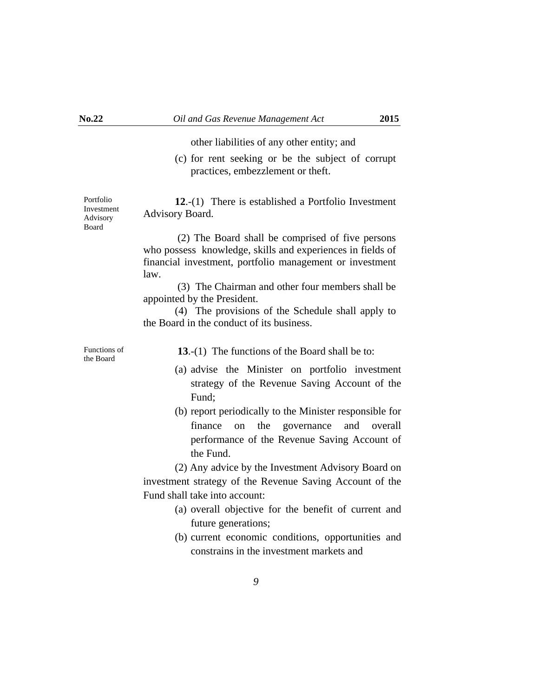other liabilities of any other entity; and

(c) for rent seeking or be the subject of corrupt practices, embezzlement or theft.

**12**.-(1) There is established a Portfolio Investment Advisory Board.

 (2) The Board shall be comprised of five persons who possess knowledge, skills and experiences in fields of financial investment, portfolio management or investment law.

 (3) The Chairman and other four members shall be appointed by the President.

 (4) The provisions of the Schedule shall apply to the Board in the conduct of its business.

Functions of<br>the Board

13.-(1) The functions of the Board shall be to:

- (a) advise the Minister on portfolio investment strategy of the Revenue Saving Account of the Fund;
- (b) report periodically to the Minister responsible for finance on the governance and overall performance of the Revenue Saving Account of the Fund.

 (2) Any advice by the Investment Advisory Board on investment strategy of the Revenue Saving Account of the Fund shall take into account:

- (a) overall objective for the benefit of current and future generations;
- (b) current economic conditions, opportunities and constrains in the investment markets and

Portfolio Investment Advisory Board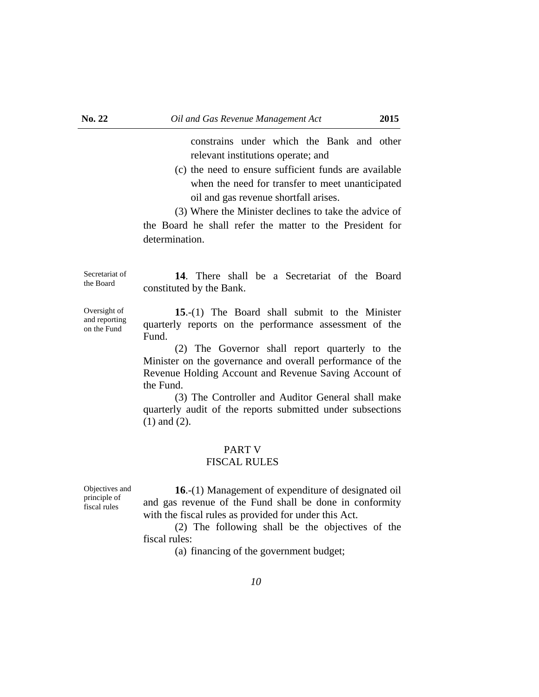constrains under which the Bank and other relevant institutions operate; and

(c) the need to ensure sufficient funds are available when the need for transfer to meet unanticipated oil and gas revenue shortfall arises.

 (3) Where the Minister declines to take the advice of the Board he shall refer the matter to the President for determination.

Secretariat of the Board

Oversight of and reporting on the Fund

**14**. There shall be a Secretariat of the Board constituted by the Bank.

**15**.-(1) The Board shall submit to the Minister quarterly reports on the performance assessment of the Fund.

 (2) The Governor shall report quarterly to the Minister on the governance and overall performance of the Revenue Holding Account and Revenue Saving Account of the Fund.

 (3) The Controller and Auditor General shall make quarterly audit of the reports submitted under subsections (1) and (2).

# PART V

#### FISCAL RULES

Objectives and principle of fiscal rules

**16**.-(1) Management of expenditure of designated oil and gas revenue of the Fund shall be done in conformity with the fiscal rules as provided for under this Act.

 (2) The following shall be the objectives of the fiscal rules:

(a) financing of the government budget;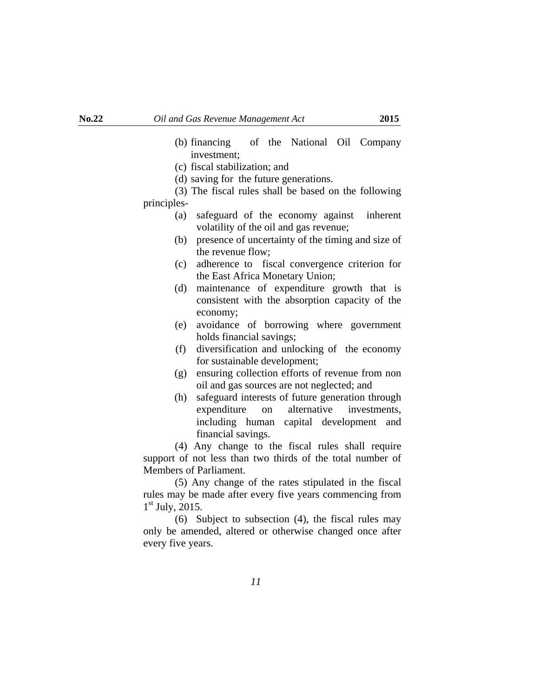- (b) financing of the National Oil Company investment;
- (c) fiscal stabilization; and
- (d) saving for the future generations.

 (3) The fiscal rules shall be based on the following principles-

- (a) safeguard of the economy against inherent volatility of the oil and gas revenue;
- (b) presence of uncertainty of the timing and size of the revenue flow;
- (c) adherence to fiscal convergence criterion for the East Africa Monetary Union;
- (d) maintenance of expenditure growth that is consistent with the absorption capacity of the economy;
- (e) avoidance of borrowing where government holds financial savings;
- (f) diversification and unlocking of the economy for sustainable development;
- (g) ensuring collection efforts of revenue from non oil and gas sources are not neglected; and
- (h) safeguard interests of future generation through expenditure on alternative investments, including human capital development and financial savings.

 (4) Any change to the fiscal rules shall require support of not less than two thirds of the total number of Members of Parliament.

 (5) Any change of the rates stipulated in the fiscal rules may be made after every five years commencing from  $1<sup>st</sup>$  July, 2015.

 (6) Subject to subsection (4), the fiscal rules may only be amended, altered or otherwise changed once after every five years.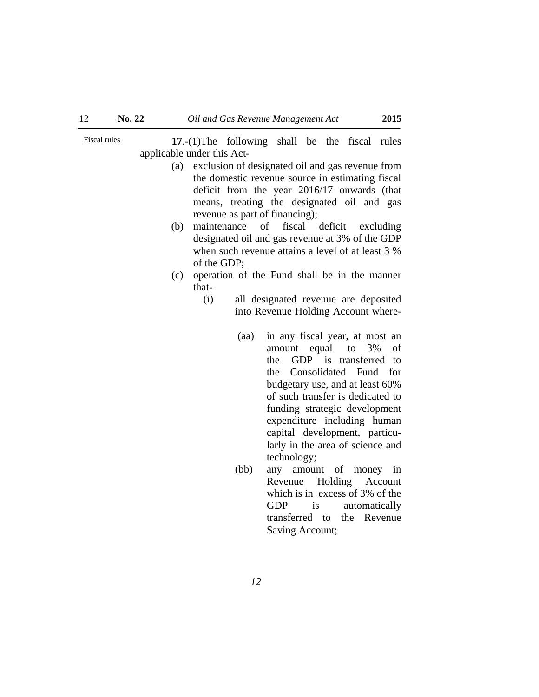Fiscal rules **17.**-(1)The following shall be the fiscal rules applicable under this Act-

- (a) exclusion of designated oil and gas revenue from the domestic revenue source in estimating fiscal deficit from the year 2016/17 onwards (that means, treating the designated oil and gas revenue as part of financing);
- (b) maintenance of fiscal deficit excluding designated oil and gas revenue at 3% of the GDP when such revenue attains a level of at least 3 % of the GDP;
- (c) operation of the Fund shall be in the manner that-
	- (i) all designated revenue are deposited into Revenue Holding Account where-
		- (aa) in any fiscal year, at most an amount equal to 3% of the GDP is transferred to the Consolidated Fund for budgetary use, and at least 60% of such transfer is dedicated to funding strategic development expenditure including human capital development, particularly in the area of science and technology;
		- (bb) any amount of money in Revenue Holding Account which is in excess of 3% of the GDP is automatically transferred to the Revenue Saving Account;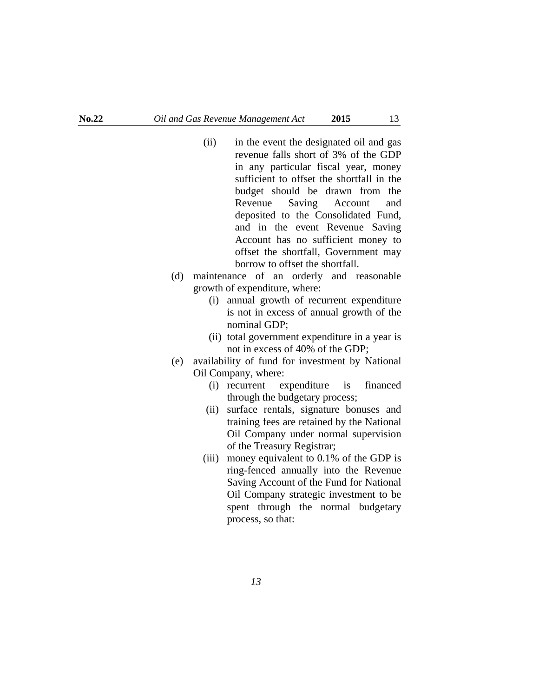٦

- (ii) in the event the designated oil and gas revenue falls short of 3% of the GDP in any particular fiscal year, money sufficient to offset the shortfall in the budget should be drawn from the Revenue Saving Account and deposited to the Consolidated Fund, and in the event Revenue Saving Account has no sufficient money to offset the shortfall, Government may borrow to offset the shortfall.
- (d) maintenance of an orderly and reasonable growth of expenditure, where:
	- (i) annual growth of recurrent expenditure is not in excess of annual growth of the nominal GDP;
	- (ii) total government expenditure in a year is not in excess of 40% of the GDP;
- (e) availability of fund for investment by National Oil Company, where:
	- (i) recurrent expenditure is financed through the budgetary process;
	- (ii) surface rentals, signature bonuses and training fees are retained by the National Oil Company under normal supervision of the Treasury Registrar;
	- (iii) money equivalent to 0.1% of the GDP is ring-fenced annually into the Revenue Saving Account of the Fund for National Oil Company strategic investment to be spent through the normal budgetary process, so that: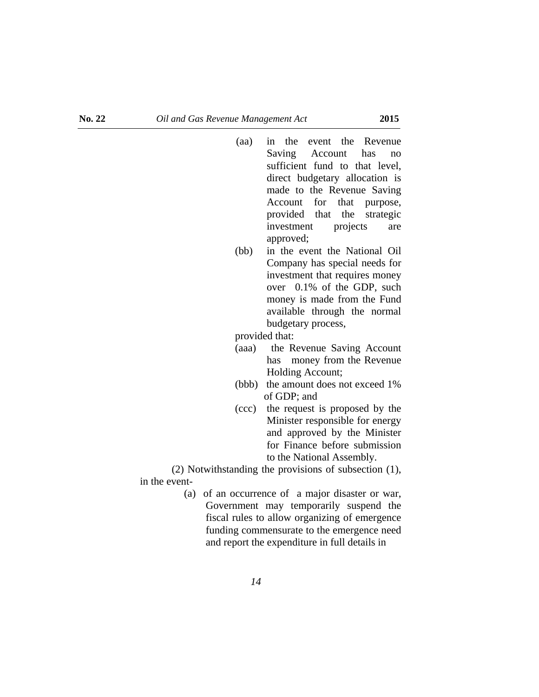- (aa) in the event the Revenue Saving Account has no sufficient fund to that level, direct budgetary allocation is made to the Revenue Saving Account for that purpose, provided that the strategic investment projects are approved;
- (bb) in the event the National Oil Company has special needs for investment that requires money over 0.1% of the GDP, such money is made from the Fund available through the normal budgetary process,

provided that:

- (aaa) the Revenue Saving Account has money from the Revenue Holding Account;
- (bbb) the amount does not exceed 1% of GDP; and
- (ccc) the request is proposed by the Minister responsible for energy and approved by the Minister for Finance before submission to the National Assembly.

 (2) Notwithstanding the provisions of subsection (1), in the event-

> (a) of an occurrence of a major disaster or war, Government may temporarily suspend the fiscal rules to allow organizing of emergence funding commensurate to the emergence need and report the expenditure in full details in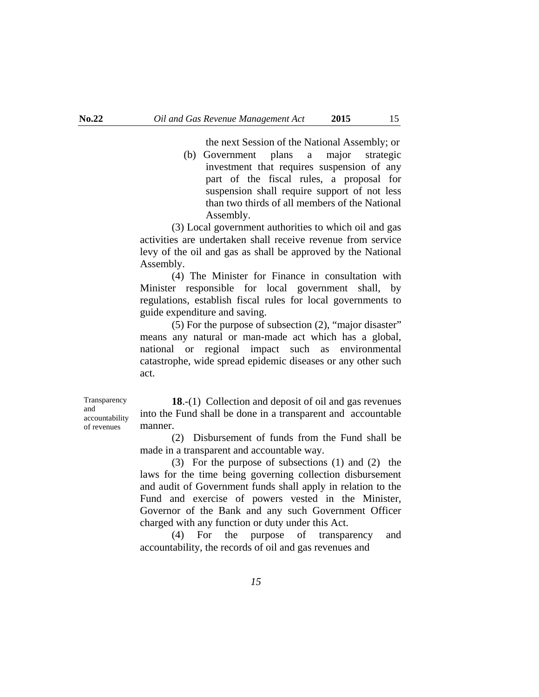the next Session of the National Assembly; or (b) Government plans a major strategic investment that requires suspension of any part of the fiscal rules, a proposal for suspension shall require support of not less than two thirds of all members of the National Assembly.

 (3) Local government authorities to which oil and gas activities are undertaken shall receive revenue from service levy of the oil and gas as shall be approved by the National Assembly.

 (4) The Minister for Finance in consultation with Minister responsible for local government shall, by regulations, establish fiscal rules for local governments to guide expenditure and saving.

 (5) For the purpose of subsection (2), "major disaster" means any natural or man-made act which has a global, national or regional impact such as environmental catastrophe, wide spread epidemic diseases or any other such act.

Transparency and accountability of revenues

**18**.-(1) Collection and deposit of oil and gas revenues into the Fund shall be done in a transparent and accountable manner.

 (2) Disbursement of funds from the Fund shall be made in a transparent and accountable way.

 (3) For the purpose of subsections (1) and (2) the laws for the time being governing collection disbursement and audit of Government funds shall apply in relation to the Fund and exercise of powers vested in the Minister, Governor of the Bank and any such Government Officer charged with any function or duty under this Act.

 (4) For the purpose of transparency and accountability, the records of oil and gas revenues and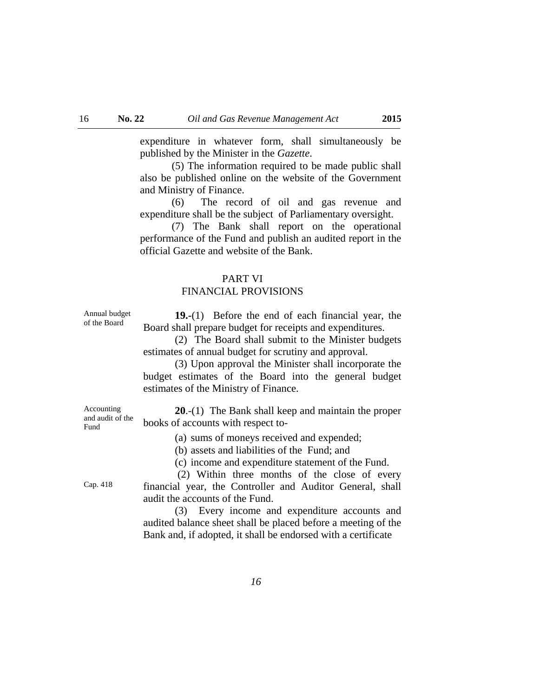expenditure in whatever form, shall simultaneously be published by the Minister in the *Gazette*.

 (5) The information required to be made public shall also be published online on the website of the Government and Ministry of Finance.

 (6) The record of oil and gas revenue and expenditure shall be the subject of Parliamentary oversight.

 (7) The Bank shall report on the operational performance of the Fund and publish an audited report in the official Gazette and website of the Bank.

#### PART VI

# FINANCIAL PROVISIONS

Annual budget of the Board

**19.-**(1) Before the end of each financial year, the Board shall prepare budget for receipts and expenditures.

 (2) The Board shall submit to the Minister budgets estimates of annual budget for scrutiny and approval.

 (3) Upon approval the Minister shall incorporate the budget estimates of the Board into the general budget estimates of the Ministry of Finance.

Accounting and audit of the Fund

**20**.-(1) The Bank shall keep and maintain the proper books of accounts with respect to-

(a) sums of moneys received and expended;

(b) assets and liabilities of the Fund; and

(c) income and expenditure statement of the Fund.

 (2) Within three months of the close of every financial year, the Controller and Auditor General, shall audit the accounts of the Fund.

 (3) Every income and expenditure accounts and audited balance sheet shall be placed before a meeting of the Bank and, if adopted, it shall be endorsed with a certificate

Cap. 418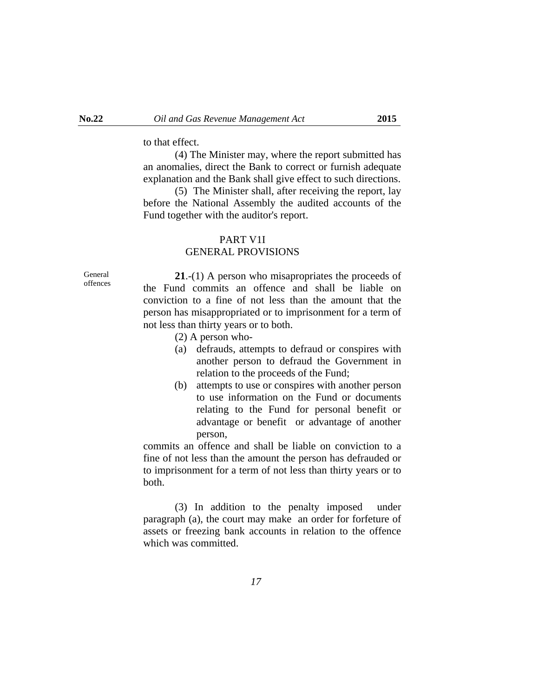to that effect.

 (4) The Minister may, where the report submitted has an anomalies, direct the Bank to correct or furnish adequate explanation and the Bank shall give effect to such directions.

 (5) The Minister shall, after receiving the report, lay before the National Assembly the audited accounts of the Fund together with the auditor's report.

#### PART V1I

#### GENERAL PROVISIONS

General offences

**21**.-(1) A person who misapropriates the proceeds of the Fund commits an offence and shall be liable on conviction to a fine of not less than the amount that the person has misappropriated or to imprisonment for a term of not less than thirty years or to both.

- (2) A person who-
- (a) defrauds, attempts to defraud or conspires with another person to defraud the Government in relation to the proceeds of the Fund;
- (b) attempts to use or conspires with another person to use information on the Fund or documents relating to the Fund for personal benefit or advantage or benefit or advantage of another person,

 commits an offence and shall be liable on conviction to a fine of not less than the amount the person has defrauded or to imprisonment for a term of not less than thirty years or to both.

 (3) In addition to the penalty imposed under paragraph (a), the court may make an order for forfeture of assets or freezing bank accounts in relation to the offence which was committed.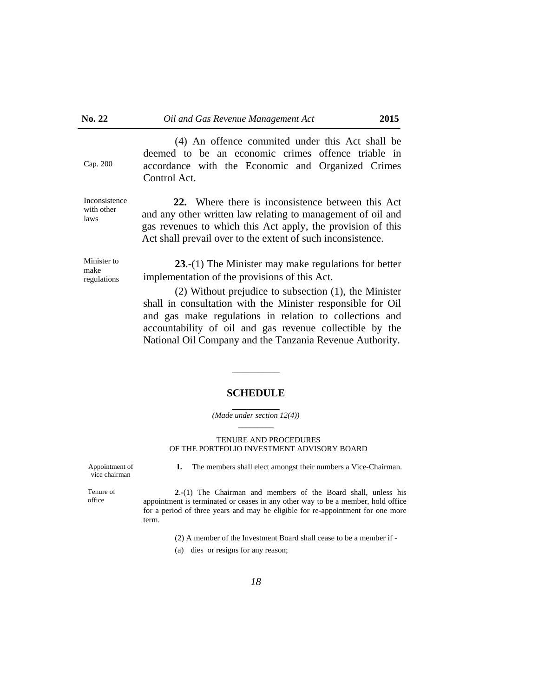Cap. 200

Inconsistence with other laws

 (4) An offence commited under this Act shall be deemed to be an economic crimes offence triable in accordance with the Economic and Organized Crimes Control Act.

**22.** Where there is inconsistence between this Act and any other written law relating to management of oil and gas revenues to which this Act apply, the provision of this Act shall prevail over to the extent of such inconsistence.

Minister to make regulations

**23**.-(1) The Minister may make regulations for better implementation of the provisions of this Act.

 (2) Without prejudice to subsection (1), the Minister shall in consultation with the Minister responsible for Oil and gas make regulations in relation to collections and accountability of oil and gas revenue collectible by the National Oil Company and the Tanzania Revenue Authority.

#### **SCHEDULE**

 $\overline{\phantom{a}}$   $\overline{\phantom{a}}$ 

#### **\_\_\_\_\_\_\_\_\_** *(Made under section 12(4)) \_\_\_\_\_\_\_\_\_*

#### TENURE AND PROCEDURES OF THE PORTFOLIO INVESTMENT ADVISORY BOARD

Appointment of vice chairman

**1.** The members shall elect amongst their numbers a Vice-Chairman.

Tenure of office

**2**.-(1) The Chairman and members of the Board shall, unless his appointment is terminated or ceases in any other way to be a member, hold office for a period of three years and may be eligible for re-appointment for one more term.

(2) A member of the Investment Board shall cease to be a member if -

(a) dies or resigns for any reason;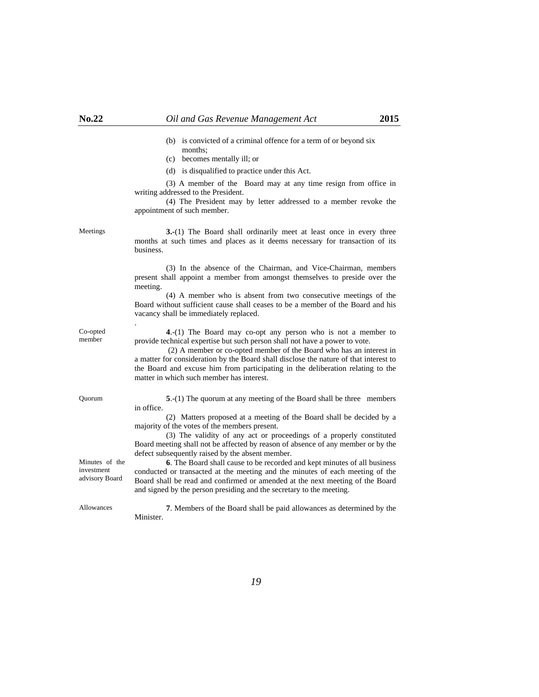- (b) is convicted of a criminal offence for a term of or beyond six months;
- (c) becomes mentally ill; or
- (d) is disqualified to practice under this Act.

 (3) A member of the Board may at any time resign from office in writing addressed to the President.

 (4) The President may by letter addressed to a member revoke the appointment of such member.

Co-opted member

Minutes of the investment advisory Board

.

Meetings **3.-**(1) The Board shall ordinarily meet at least once in every three months at such times and places as it deems necessary for transaction of its business.

> (3) In the absence of the Chairman, and Vice-Chairman, members present shall appoint a member from amongst themselves to preside over the meeting.

> (4) A member who is absent from two consecutive meetings of the Board without sufficient cause shall ceases to be a member of the Board and his vacancy shall be immediately replaced.

**4**.-(1) The Board may co-opt any person who is not a member to provide technical expertise but such person shall not have a power to vote.

 (2) A member or co-opted member of the Board who has an interest in a matter for consideration by the Board shall disclose the nature of that interest to the Board and excuse him from participating in the deliberation relating to the matter in which such member has interest.

Quorum **5**.-(1) The quorum at any meeting of the Board shall be three members in office.

> (2) Matters proposed at a meeting of the Board shall be decided by a majority of the votes of the members present.

> (3) The validity of any act or proceedings of a properly constituted Board meeting shall not be affected by reason of absence of any member or by the defect subsequently raised by the absent member.

> **6**. The Board shall cause to be recorded and kept minutes of all business conducted or transacted at the meeting and the minutes of each meeting of the Board shall be read and confirmed or amended at the next meeting of the Board and signed by the person presiding and the secretary to the meeting.

Allowances **7**. Members of the Board shall be paid allowances as determined by the Minister.